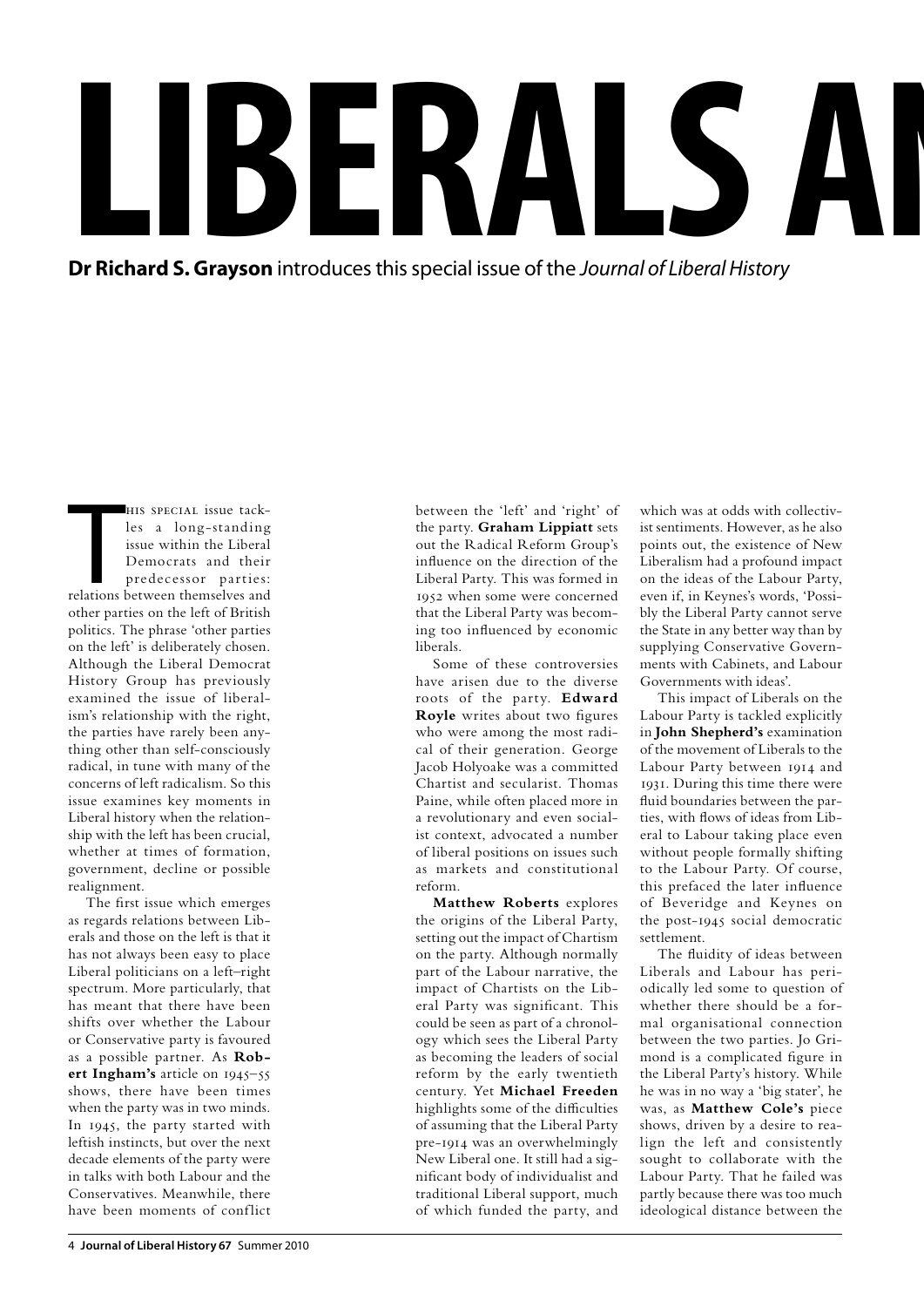**l**<br>Dr Rio **b**<br> **erayson** introduces th  $\mathbf{A}$ LS

**Dr Richard S. Grayson** introduces this special issue of the Journal of Liberal History

HIS SPECIAL issue tack-<br>les a long-standing<br>issue within the Liberal<br>Democrats and their<br>predecessor parties:<br>relations between themselves and his special issue tackles a long-standing issue within the Liberal Democrats and their predecessor parties: other parties on the left of British politics. The phrase 'other parties on the left' is deliberately chosen. Although the Liberal Democrat History Group has previously examined the issue of liberalism's relationship with the right, the parties have rarely been anything other than self-consciously radical, in tune with many of the concerns of left radicalism. So this issue examines key moments in Liberal history when the relationship with the left has been crucial, whether at times of formation, government, decline or possible realignment.

The first issue which emerges as regards relations between Liberals and those on the left is that it has not always been easy to place Liberal politicians on a left–right spectrum. More particularly, that has meant that there have been shifts over whether the Labour or Conservative party is favoured as a possible partner. As **Robert Ingham's** article on 1945–55 shows, there have been times when the party was in two minds. In 1945, the party started with leftish instincts, but over the next decade elements of the party were in talks with both Labour and the Conservatives. Meanwhile, there have been moments of conflict

between the 'left' and 'right' of the party. **Graham Lippiatt** sets out the Radical Reform Group's influence on the direction of the Liberal Party. This was formed in 1952 when some were concerned that the Liberal Party was becoming too influenced by economic liberals.

Some of these controversies have arisen due to the diverse roots of the party. **Edward Royle** writes about two figures who were among the most radical of their generation. George Jacob Holyoake was a committed Chartist and secularist. Thomas Paine, while often placed more in a revolutionary and even socialist context, advocated a number of liberal positions on issues such as markets and constitutional reform.

**Matthew Roberts** explores the origins of the Liberal Party, setting out the impact of Chartism on the party. Although normally part of the Labour narrative, the impact of Chartists on the Liberal Party was significant. This could be seen as part of a chronology which sees the Liberal Party as becoming the leaders of social reform by the early twentieth century. Yet **Michael Freeden** highlights some of the difficulties of assuming that the Liberal Party pre-1914 was an overwhelmingly New Liberal one. It still had a significant body of individualist and traditional Liberal support, much of which funded the party, and

which was at odds with collectivist sentiments. However, as he also points out, the existence of New Liberalism had a profound impact on the ideas of the Labour Party, even if, in Keynes's words, 'Possibly the Liberal Party cannot serve the State in any better way than by supplying Conservative Governments with Cabinets, and Labour Governments with ideas'.

This impact of Liberals on the Labour Party is tackled explicitly in **John Shepherd's** examination of the movement of Liberals to the Labour Party between 1914 and 1931. During this time there were fluid boundaries between the parties, with flows of ideas from Liberal to Labour taking place even without people formally shifting to the Labour Party. Of course, this prefaced the later influence of Beveridge and Keynes on the post-1945 social democratic settlement.

The fluidity of ideas between Liberals and Labour has periodically led some to question of whether there should be a formal organisational connection between the two parties. Jo Grimond is a complicated figure in the Liberal Party's history. While he was in no way a 'big stater', he was, as **Matthew Cole's** piece shows, driven by a desire to realign the left and consistently sought to collaborate with the Labour Party. That he failed was partly because there was too much ideological distance between the